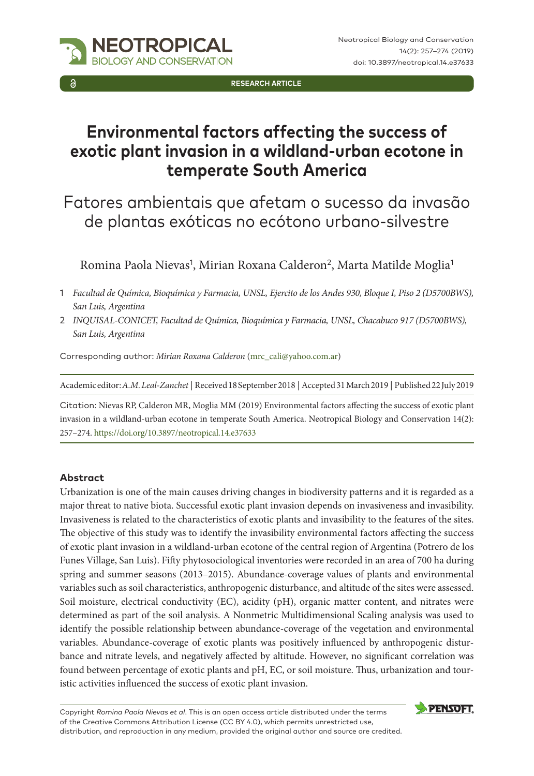

**RESEARCH ARTICLE**

# **Environmental factors affecting the success of exotic plant invasion in a wildland-urban ecotone in temperate South America**

Fatores ambientais que afetam o sucesso da invasão de plantas exóticas no ecótono urbano-silvestre

Romina Paola Nievas<sup>1</sup>, Mirian Roxana Calderon<sup>2</sup>, Marta Matilde Moglia<sup>1</sup>

- 1 *Facultad de Química, Bioquímica y Farmacia, UNSL, Ejercito de los Andes 930, Bloque I, Piso 2 (D5700BWS), San Luis, Argentina*
- 2 *INQUISAL-CONICET, Facultad de Química, Bioquímica y Farmacia, UNSL, Chacabuco 917 (D5700BWS), San Luis, Argentina*

Corresponding author: *Mirian Roxana Calderon* [\(mrc\\_cali@yahoo.com.ar](mailto:mrc_cali@yahoo.com.ar))

Academic editor: *A.M. Leal-Zanchet* | Received 18 September 2018 | Accepted 31 March 2019 | Published 22 July 2019

Citation: Nievas RP, Calderon MR, Moglia MM (2019) Environmental factors affecting the success of exotic plant invasion in a wildland-urban ecotone in temperate South America. Neotropical Biology and Conservation 14(2): 257–274.<https://doi.org/10.3897/neotropical.14.e37633>

#### **Abstract**

Urbanization is one of the main causes driving changes in biodiversity patterns and it is regarded as a major threat to native biota. Successful exotic plant invasion depends on invasiveness and invasibility. Invasiveness is related to the characteristics of exotic plants and invasibility to the features of the sites. The objective of this study was to identify the invasibility environmental factors affecting the success of exotic plant invasion in a wildland-urban ecotone of the central region of Argentina (Potrero de los Funes Village, San Luis). Fifty phytosociological inventories were recorded in an area of 700 ha during spring and summer seasons (2013–2015). Abundance-coverage values of plants and environmental variables such as soil characteristics, anthropogenic disturbance, and altitude of the sites were assessed. Soil moisture, electrical conductivity (EC), acidity (pH), organic matter content, and nitrates were determined as part of the soil analysis. A Nonmetric Multidimensional Scaling analysis was used to identify the possible relationship between abundance-coverage of the vegetation and environmental variables. Abundance-coverage of exotic plants was positively influenced by anthropogenic disturbance and nitrate levels, and negatively affected by altitude. However, no significant correlation was found between percentage of exotic plants and pH, EC, or soil moisture. Thus, urbanization and touristic activities influenced the success of exotic plant invasion.

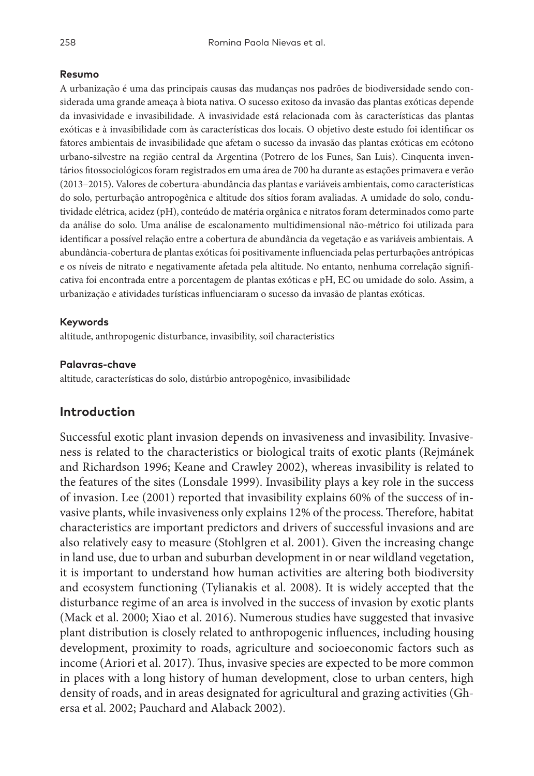#### **Resumo**

A urbanização é uma das principais causas das mudanças nos padrões de biodiversidade sendo considerada uma grande ameaça à biota nativa. O sucesso exitoso da invasão das plantas exóticas depende da invasividade e invasibilidade. A invasividade está relacionada com às características das plantas exóticas e à invasibilidade com às características dos locais. O objetivo deste estudo foi identificar os fatores ambientais de invasibilidade que afetam o sucesso da invasão das plantas exóticas em ecótono urbano-silvestre na região central da Argentina (Potrero de los Funes, San Luis). Cinquenta inventários fitossociológicos foram registrados em uma área de 700 ha durante as estações primavera e verão (2013–2015). Valores de cobertura-abundância das plantas e variáveis ambientais, como características do solo, perturbação antropogênica e altitude dos sítios foram avaliadas. A umidade do solo, condutividade elétrica, acidez (pH), conteúdo de matéria orgânica e nitratos foram determinados como parte da análise do solo. Uma análise de escalonamento multidimensional não-métrico foi utilizada para identificar a possível relação entre a cobertura de abundância da vegetação e as variáveis ambientais. A abundância-cobertura de plantas exóticas foi positivamente influenciada pelas perturbações antrópicas e os níveis de nitrato e negativamente afetada pela altitude. No entanto, nenhuma correlação significativa foi encontrada entre a porcentagem de plantas exóticas e pH, EC ou umidade do solo. Assim, a urbanização e atividades turísticas influenciaram o sucesso da invasão de plantas exóticas.

#### **Keywords**

altitude, anthropogenic disturbance, invasibility, soil characteristics

#### **Palavras-chave**

altitude, características do solo, distúrbio antropogênico, invasibilidade

#### **Introduction**

Successful exotic plant invasion depends on invasiveness and invasibility. Invasiveness is related to the characteristics or biological traits of exotic plants (Rejmánek and Richardson 1996; Keane and Crawley 2002), whereas invasibility is related to the features of the sites (Lonsdale 1999). Invasibility plays a key role in the success of invasion. Lee (2001) reported that invasibility explains 60% of the success of invasive plants, while invasiveness only explains 12% of the process. Therefore, habitat characteristics are important predictors and drivers of successful invasions and are also relatively easy to measure (Stohlgren et al. 2001). Given the increasing change in land use, due to urban and suburban development in or near wildland vegetation, it is important to understand how human activities are altering both biodiversity and ecosystem functioning (Tylianakis et al. 2008). It is widely accepted that the disturbance regime of an area is involved in the success of invasion by exotic plants (Mack et al. 2000; Xiao et al. 2016). Numerous studies have suggested that invasive plant distribution is closely related to anthropogenic influences, including housing development, proximity to roads, agriculture and socioeconomic factors such as income (Ariori et al. 2017). Thus, invasive species are expected to be more common in places with a long history of human development, close to urban centers, high density of roads, and in areas designated for agricultural and grazing activities (Ghersa et al. 2002; Pauchard and Alaback 2002).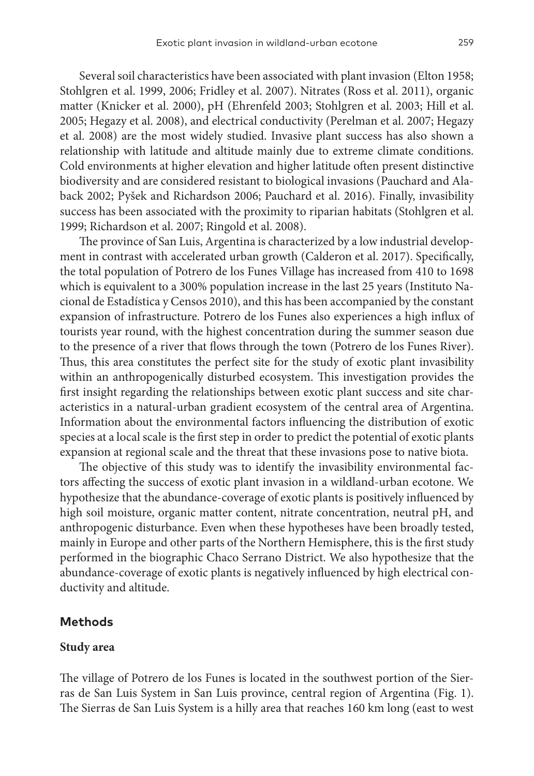Several soil characteristics have been associated with plant invasion (Elton 1958; Stohlgren et al. 1999, 2006; Fridley et al. 2007). Nitrates (Ross et al. 2011), organic matter (Knicker et al. 2000), pH (Ehrenfeld 2003; Stohlgren et al. 2003; Hill et al. 2005; Hegazy et al. 2008), and electrical conductivity (Perelman et al. 2007; Hegazy et al. 2008) are the most widely studied. Invasive plant success has also shown a relationship with latitude and altitude mainly due to extreme climate conditions. Cold environments at higher elevation and higher latitude often present distinctive biodiversity and are considered resistant to biological invasions (Pauchard and Alaback 2002; Pyšek and Richardson 2006; Pauchard et al. 2016). Finally, invasibility success has been associated with the proximity to riparian habitats (Stohlgren et al. 1999; Richardson et al. 2007; Ringold et al. 2008).

The province of San Luis, Argentina is characterized by a low industrial development in contrast with accelerated urban growth (Calderon et al. 2017). Specifically, the total population of Potrero de los Funes Village has increased from 410 to 1698 which is equivalent to a 300% population increase in the last 25 years (Instituto Nacional de Estadística y Censos 2010), and this has been accompanied by the constant expansion of infrastructure. Potrero de los Funes also experiences a high influx of tourists year round, with the highest concentration during the summer season due to the presence of a river that flows through the town (Potrero de los Funes River). Thus, this area constitutes the perfect site for the study of exotic plant invasibility within an anthropogenically disturbed ecosystem. This investigation provides the first insight regarding the relationships between exotic plant success and site characteristics in a natural-urban gradient ecosystem of the central area of Argentina. Information about the environmental factors influencing the distribution of exotic species at a local scale is the first step in order to predict the potential of exotic plants expansion at regional scale and the threat that these invasions pose to native biota.

The objective of this study was to identify the invasibility environmental factors affecting the success of exotic plant invasion in a wildland-urban ecotone. We hypothesize that the abundance-coverage of exotic plants is positively influenced by high soil moisture, organic matter content, nitrate concentration, neutral pH, and anthropogenic disturbance. Even when these hypotheses have been broadly tested, mainly in Europe and other parts of the Northern Hemisphere, this is the first study performed in the biographic Chaco Serrano District. We also hypothesize that the abundance-coverage of exotic plants is negatively influenced by high electrical conductivity and altitude.

#### **Methods**

#### **Study area**

The village of Potrero de los Funes is located in the southwest portion of the Sierras de San Luis System in San Luis province, central region of Argentina (Fig. 1). The Sierras de San Luis System is a hilly area that reaches 160 km long (east to west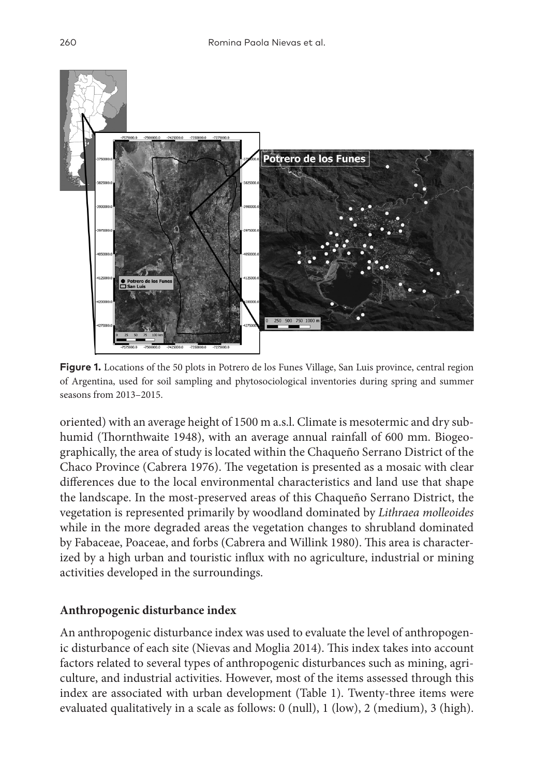

Figure 1. Locations of the 50 plots in Potrero de los Funes Village, San Luis province, central region of Argentina, used for soil sampling and phytosociological inventories during spring and summer seasons from 2013–2015.

oriented) with an average height of 1500 m a.s.l. Climate is mesotermic and dry subhumid (Thornthwaite 1948), with an average annual rainfall of 600 mm. Biogeographically, the area of study is located within the Chaqueño Serrano District of the Chaco Province (Cabrera 1976). The vegetation is presented as a mosaic with clear differences due to the local environmental characteristics and land use that shape the landscape. In the most-preserved areas of this Chaqueño Serrano District, the vegetation is represented primarily by woodland dominated by *Lithraea molleoides* while in the more degraded areas the vegetation changes to shrubland dominated by Fabaceae, Poaceae, and forbs (Cabrera and Willink 1980). This area is characterized by a high urban and touristic influx with no agriculture, industrial or mining activities developed in the surroundings.

# **Anthropogenic disturbance index**

An anthropogenic disturbance index was used to evaluate the level of anthropogenic disturbance of each site (Nievas and Moglia 2014). This index takes into account factors related to several types of anthropogenic disturbances such as mining, agriculture, and industrial activities. However, most of the items assessed through this index are associated with urban development (Table 1). Twenty-three items were evaluated qualitatively in a scale as follows: 0 (null), 1 (low), 2 (medium), 3 (high).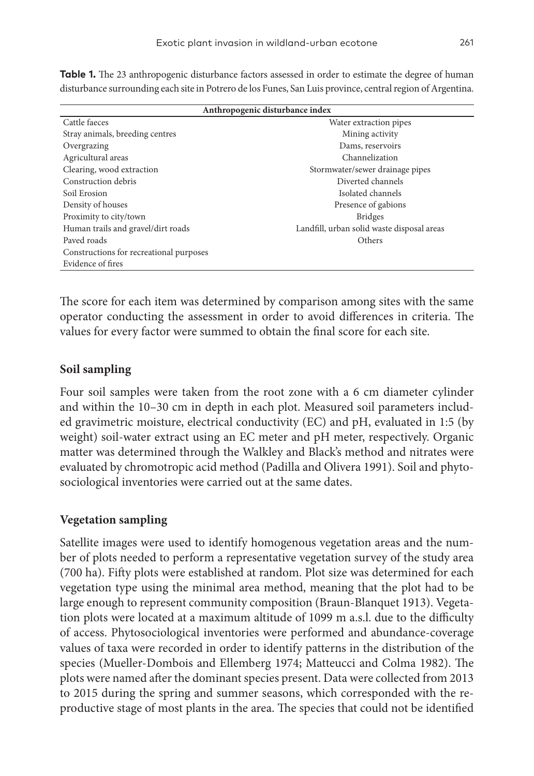| Anthropogenic disturbance index         |                                            |  |  |  |
|-----------------------------------------|--------------------------------------------|--|--|--|
| Cattle faeces                           | Water extraction pipes                     |  |  |  |
| Stray animals, breeding centres         | Mining activity                            |  |  |  |
| Overgrazing                             | Dams, reservoirs                           |  |  |  |
| Agricultural areas                      | Channelization                             |  |  |  |
| Clearing, wood extraction               | Stormwater/sewer drainage pipes            |  |  |  |
| Construction debris                     | Diverted channels                          |  |  |  |
| Soil Erosion                            | Isolated channels                          |  |  |  |
| Density of houses                       | Presence of gabions                        |  |  |  |
| Proximity to city/town                  | <b>Bridges</b>                             |  |  |  |
| Human trails and gravel/dirt roads      | Landfill, urban solid waste disposal areas |  |  |  |
| Payed roads                             | Others                                     |  |  |  |
| Constructions for recreational purposes |                                            |  |  |  |
| Evidence of fires                       |                                            |  |  |  |

**Table 1.** The 23 anthropogenic disturbance factors assessed in order to estimate the degree of human disturbance surrounding each site in Potrero de los Funes, San Luis province, central region of Argentina.

The score for each item was determined by comparison among sites with the same operator conducting the assessment in order to avoid differences in criteria. The values for every factor were summed to obtain the final score for each site.

## **Soil sampling**

Four soil samples were taken from the root zone with a 6 cm diameter cylinder and within the 10–30 cm in depth in each plot. Measured soil parameters included gravimetric moisture, electrical conductivity (EC) and pH, evaluated in 1:5 (by weight) soil-water extract using an EC meter and pH meter, respectively. Organic matter was determined through the Walkley and Black's method and nitrates were evaluated by chromotropic acid method (Padilla and Olivera 1991). Soil and phytosociological inventories were carried out at the same dates.

## **Vegetation sampling**

Satellite images were used to identify homogenous vegetation areas and the number of plots needed to perform a representative vegetation survey of the study area (700 ha). Fifty plots were established at random. Plot size was determined for each vegetation type using the minimal area method, meaning that the plot had to be large enough to represent community composition (Braun-Blanquet 1913). Vegetation plots were located at a maximum altitude of 1099 m a.s.l. due to the difficulty of access. Phytosociological inventories were performed and abundance-coverage values of taxa were recorded in order to identify patterns in the distribution of the species (Mueller-Dombois and Ellemberg 1974; Matteucci and Colma 1982). The plots were named after the dominant species present. Data were collected from 2013 to 2015 during the spring and summer seasons, which corresponded with the reproductive stage of most plants in the area. The species that could not be identified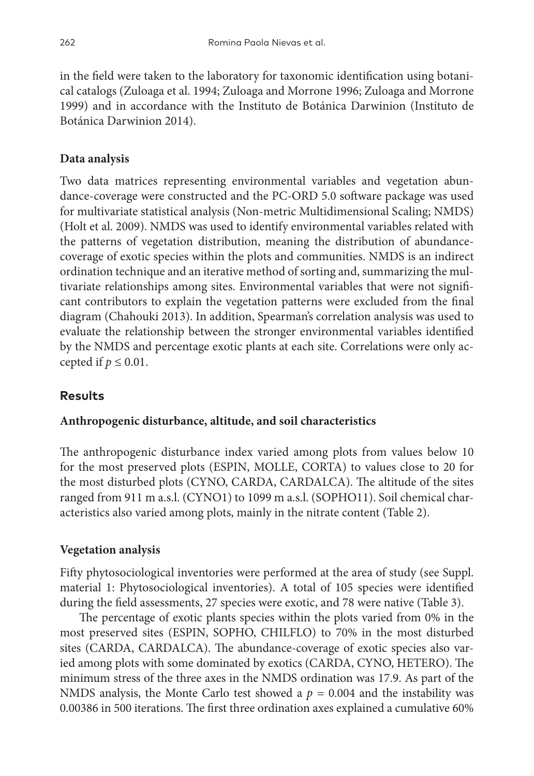in the field were taken to the laboratory for taxonomic identification using botanical catalogs (Zuloaga et al. 1994; Zuloaga and Morrone 1996; Zuloaga and Morrone 1999) and in accordance with the Instituto de Botánica Darwinion (Instituto de Botánica Darwinion 2014).

# **Data analysis**

Two data matrices representing environmental variables and vegetation abundance-coverage were constructed and the PC-ORD 5.0 software package was used for multivariate statistical analysis (Non-metric Multidimensional Scaling; NMDS) (Holt et al. 2009). NMDS was used to identify environmental variables related with the patterns of vegetation distribution, meaning the distribution of abundancecoverage of exotic species within the plots and communities. NMDS is an indirect ordination technique and an iterative method of sorting and, summarizing the multivariate relationships among sites. Environmental variables that were not significant contributors to explain the vegetation patterns were excluded from the final diagram (Chahouki 2013). In addition, Spearman's correlation analysis was used to evaluate the relationship between the stronger environmental variables identified by the NMDS and percentage exotic plants at each site. Correlations were only accepted if  $p \leq 0.01$ .

# **Results**

# **Anthropogenic disturbance, altitude, and soil characteristics**

The anthropogenic disturbance index varied among plots from values below 10 for the most preserved plots (ESPIN, MOLLE, CORTA) to values close to 20 for the most disturbed plots (CYNO, CARDA, CARDALCA). The altitude of the sites ranged from 911 m a.s.l. (CYNO1) to 1099 m a.s.l. (SOPHO11). Soil chemical characteristics also varied among plots, mainly in the nitrate content (Table 2).

# **Vegetation analysis**

Fifty phytosociological inventories were performed at the area of study (see Suppl. material 1: Phytosociological inventories). A total of 105 species were identified during the field assessments, 27 species were exotic, and 78 were native (Table 3).

The percentage of exotic plants species within the plots varied from 0% in the most preserved sites (ESPIN, SOPHO, CHILFLO) to 70% in the most disturbed sites (CARDA, CARDALCA). The abundance-coverage of exotic species also varied among plots with some dominated by exotics (CARDA, CYNO, HETERO). The minimum stress of the three axes in the NMDS ordination was 17.9. As part of the NMDS analysis, the Monte Carlo test showed a  $p = 0.004$  and the instability was 0.00386 in 500 iterations. The first three ordination axes explained a cumulative 60%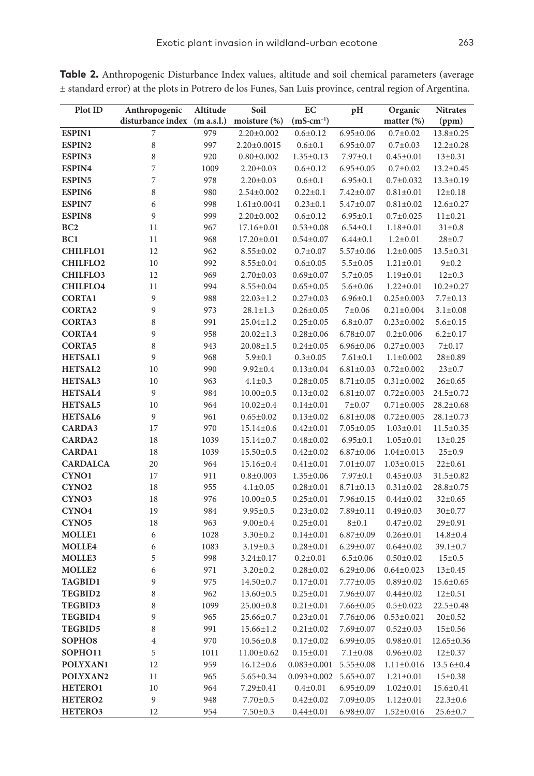| Plot ID             | Anthropogenic                | Altitude | Soil              | EC                    | pH              | Organic          | <b>Nitrates</b> |
|---------------------|------------------------------|----------|-------------------|-----------------------|-----------------|------------------|-----------------|
|                     | disturbance index (m a.s.l.) |          | moisture (%)      | $(mS\text{-}cm^{-1})$ |                 | matter $(\%)$    | (ppm)           |
| <b>ESPIN1</b>       | 7                            | 979      | $2.20 \pm 0.002$  | $0.6{\pm}0.12$        | $6.95 \pm 0.06$ | $0.7 + 0.02$     | 13.8±0.25       |
| ESPIN2              | $\,$ 8 $\,$                  | 997      | $2.20 \pm 0.0015$ | $0.6 \pm 0.1$         | $6.95 \pm 0.07$ | $0.7 \pm 0.03$   | $12.2 \pm 0.28$ |
| ESPIN3              | 8                            | 920      | $0.80 \pm 0.002$  | $1.35 \pm 0.13$       | $7.97 \pm 0.1$  | $0.45 \pm 0.01$  | $13 \pm 0.31$   |
| ESPIN4              | 7                            | 1009     | $2.20 \pm 0.03$   | $0.6 \pm 0.12$        | $6.95 \pm 0.05$ | $0.7 + 0.02$     | $13.2 \pm 0.45$ |
| <b>ESPIN5</b>       | 7                            | 978      | $2.20 \pm 0.03$   | $0.6{\pm}0.1$         | $6.95 \pm 0.1$  | $0.7 \pm 0.032$  | $13.3 \pm 0.19$ |
| <b>ESPIN6</b>       | 8                            | 980      | $2.54 \pm 0.002$  | $0.22 \pm 0.1$        | $7.42 \pm 0.07$ | $0.81 \pm 0.01$  | $12\pm0.18$     |
| <b>ESPIN7</b>       | 6                            | 998      | $1.61 \pm 0.0041$ | $0.23 \pm 0.1$        | 5.47±0.07       | $0.81 \pm 0.02$  | 12.6±0.27       |
| <b>ESPIN8</b>       | 9                            | 999      | $2.20 \pm 0.002$  | $0.6 \pm 0.12$        | $6.95 \pm 0.1$  | $0.7 \pm 0.025$  | $11 \pm 0.21$   |
| BC <sub>2</sub>     | 11                           | 967      | $17.16 \pm 0.01$  | $0.53 \pm 0.08$       | $6.54 \pm 0.1$  | $1.18 \pm 0.01$  | $31 \pm 0.8$    |
| BC1                 | 11                           | 968      | $17.20 \pm 0.01$  | $0.54 \pm 0.07$       | $6.44 \pm 0.1$  | $1.2 \pm 0.01$   | $28 + 0.7$      |
| <b>CHILFLO1</b>     | 12                           | 962      | $8.55 \pm 0.02$   | $0.7 \pm 0.07$        | $5.57 \pm 0.06$ | $1.2 \pm 0.005$  | $13.5 \pm 0.31$ |
| <b>CHILFLO2</b>     | 10                           | 992      | $8.55 \pm 0.04$   | $0.6 \pm 0.05$        | $5.5 \pm 0.05$  | $1.21 \pm 0.01$  | 9 ± 0.2         |
| <b>CHILFLO3</b>     | 12                           | 969      | $2.70 \pm 0.03$   | $0.69 \pm 0.07$       | $5.7 \pm 0.05$  | $1.19 \pm 0.01$  | $12 \pm 0.3$    |
| <b>CHILFLO4</b>     | 11                           | 994      | $8.55 \pm 0.04$   | $0.65 \pm 0.05$       | $5.6 \pm 0.06$  | $1.22 \pm 0.01$  | $10.2 \pm 0.27$ |
| <b>CORTA1</b>       | 9                            | 988      | $22.03 \pm 1.2$   | $0.27 \pm 0.03$       | $6.96 \pm 0.1$  | $0.25 \pm 0.003$ | $7.7 \pm 0.13$  |
| <b>CORTA2</b>       | 9                            | 973      | $28.1 \pm 1.3$    | $0.26 \pm 0.05$       | 7 ± 0.06        | $0.21 \pm 0.004$ | $3.1 \pm 0.08$  |
| <b>CORTA3</b>       | 8                            | 991      | $25.04 \pm 1.2$   | $0.25 \pm 0.05$       | $6.8 + 0.07$    | $0.23 \pm 0.002$ | $5.6 \pm 0.15$  |
| <b>CORTA4</b>       | 9                            | 958      | $20.02 \pm 1.3$   | $0.28 + 0.06$         | $6.78 \pm 0.07$ | $0.2 \pm 0.006$  | $6.2 \pm 0.17$  |
| <b>CORTA5</b>       | 8                            | 943      | $20.08 \pm 1.5$   | $0.24 \pm 0.05$       | $6.96 \pm 0.06$ | $0.27 \pm 0.003$ | 7 ± 0.17        |
| <b>HETSAL1</b>      | 9                            | 968      | $5.9 \pm 0.1$     | $0.3 \pm 0.05$        | $7.61 \pm 0.1$  | $1.1 \pm 0.002$  | $28 + 0.89$     |
| <b>HETSAL2</b>      | 10                           | 990      | $9.92 \pm 0.4$    | $0.13 \pm 0.04$       | $6.81 \pm 0.03$ | $0.72 \pm 0.002$ | $23 \pm 0.7$    |
| HETSAL3             | 10                           | 963      | $4.1 \pm 0.3$     | $0.28 + 0.05$         | $8.71 \pm 0.05$ | $0.31 \pm 0.002$ | $26 \pm 0.65$   |
| <b>HETSAL4</b>      | 9                            | 984      | $10.00 \pm 0.5$   | $0.13 \pm 0.02$       | $6.81 \pm 0.07$ | $0.72 \pm 0.003$ | 24.5±0.72       |
| HETSAL5             | 10                           | 964      | $10.02 \pm 0.4$   | $0.14 \pm 0.01$       | $7 + 0.07$      | $0.71 \pm 0.005$ | $28.2 \pm 0.68$ |
| <b>HETSAL6</b>      | 9                            | 961      | $0.65 \pm 0.02$   | $0.13 \pm 0.02$       | $6.81 \pm 0.08$ | $0.72 \pm 0.005$ | $28.1 \pm 0.73$ |
| CARDA3              |                              | 970      |                   |                       |                 | $1.03 \pm 0.01$  |                 |
|                     | 17                           |          | $15.14 \pm 0.6$   | $0.42 \pm 0.01$       | $7.05 \pm 0.05$ |                  | 11.5±0.35       |
| <b>CARDA2</b>       | 18                           | 1039     | $15.14 \pm 0.7$   | $0.48 + 0.02$         | $6.95 \pm 0.1$  | $1.05 \pm 0.01$  | $13 \pm 0.25$   |
| <b>CARDA1</b>       | 18                           | 1039     | $15.50 \pm 0.5$   | $0.42 \pm 0.02$       | $6.87 \pm 0.06$ | $1.04 \pm 0.013$ | $25 \pm 0.9$    |
| <b>CARDALCA</b>     | 20                           | 964      | $15.16 \pm 0.4$   | $0.41 \pm 0.01$       | $7.01 \pm 0.07$ | $1.03 \pm 0.015$ | $22 \pm 0.61$   |
| CYNO1               | 17                           | 911      | $0.8 \pm 0.003$   | $1.35 \pm 0.06$       | $7.97 \pm 0.1$  | $0.45 \pm 0.03$  | 31.5±0.82       |
| CYNO <sub>2</sub>   | 18                           | 955      | $4.1 \pm 0.05$    | $0.28 \pm 0.01$       | $8.71 \pm 0.13$ | $0.31 \pm 0.02$  | 28.8±0.75       |
| CYNO3               | 18                           | 976      | $10.00 \pm 0.5$   | $0.25 \pm 0.01$       | 7.96±0.15       | $0.44 \pm 0.02$  | $32 \pm 0.65$   |
| CYNO <sub>4</sub>   | 19                           | 984      | $9.95 \pm 0.5$    | $0.23 \pm 0.02$       | 7.89±0.11       | $0.49 \pm 0.03$  | $30\pm0.77$     |
| CYNO <sub>5</sub>   | 18                           | 963      | $9.00 \pm 0.4$    | $0.25 \pm 0.01$       | 8 ± 0.1         | $0.47 \pm 0.02$  | $29 \pm 0.91$   |
| <b>MOLLE1</b>       | 6                            | 1028     | $3.30 \pm 0.2$    | $0.14 \pm 0.01$       | $6.87 \pm 0.09$ | $0.26 \pm 0.01$  | $14.8 \pm 0.4$  |
| <b>MOLLE4</b>       | 6                            | 1083     | $3.19 \pm 0.3$    | $0.28 \pm 0.01$       | $6.29 \pm 0.07$ | $0.64 \pm 0.02$  | $39.1 \pm 0.7$  |
| MOLLE3              | 5                            | 998      | $3.24 \pm 0.17$   | $0.2{\pm}0.01$        | $6.5 \pm 0.06$  | $0.50 \pm 0.02$  | 15±0.5          |
| <b>MOLLE2</b>       | 6                            | 971      | $3.20 \pm 0.2$    | $0.28 + 0.02$         | $6.29 \pm 0.06$ | $0.64 \pm 0.023$ | $13 \pm 0.45$   |
| <b>TAGBID1</b>      | 9                            | 975      | $14.50 \pm 0.7$   | $0.17 \pm 0.01$       | 7.77±0.05       | $0.89 \pm 0.02$  | 15.6±0.65       |
| TEGBID2             | 8                            | 962      | $13.60 \pm 0.5$   | $0.25 \pm 0.01$       | 7.96±0.07       | $0.44 \pm 0.02$  | $12 \pm 0.51$   |
| <b>TEGBID3</b>      | 8                            | 1099     | $25.00 \pm 0.8$   | $0.21 \pm 0.01$       | 7.66±0.05       | $0.5 \pm 0.022$  | 22.5±0.48       |
| <b>TEGBID4</b>      | 9                            | 965      | $25.66 \pm 0.7$   | $0.23 \pm 0.01$       | 7.76±0.06       | $0.53 \pm 0.021$ | $20 \pm 0.52$   |
| TEGBID5             | 8                            | 991      | 15.66±1.2         | $0.21 \pm 0.02$       | 7.69±0.07       | $0.52 \pm 0.03$  | 15±0.56         |
| SOPHO8              | 4                            | 970      | $10.56 \pm 0.8$   | $0.17 \pm 0.02$       | $6.99 \pm 0.05$ | $0.98 \pm 0.01$  | 12.65±0.36      |
| SOPHO11             | 5                            | 1011     | $11.00 \pm 0.62$  | $0.15 \pm 0.01$       | $7.1 \pm 0.08$  | $0.96 \pm 0.02$  | $12\pm0.37$     |
| POLYXAN1            | 12                           | 959      | $16.12 \pm 0.6$   | $0.083 \pm 0.001$     | $5.55 \pm 0.08$ | $1.11 \pm 0.016$ | 13.5 6±0.4      |
| POLYXAN2            | 11                           | 965      | $5.65 \pm 0.34$   | $0.093 \pm 0.002$     | $5.65 \pm 0.07$ | $1.21 \pm 0.01$  | $15 \pm 0.38$   |
| <b>HETERO1</b>      | 10                           | 964      | 7.29±0.41         | $0.4 \pm 0.01$        | $6.95 \pm 0.09$ | $1.02 \pm 0.01$  | $15.6 \pm 0.41$ |
| HETERO <sub>2</sub> | 9                            | 948      | $7.70 \pm 0.5$    | $0.42 \pm 0.02$       | $7.09 \pm 0.05$ | $1.12 \pm 0.01$  | $22.3 \pm 0.6$  |
| HETERO3             | 12                           | 954      | $7.50 \pm 0.3$    | $0.44 \pm 0.01$       | $6.98 \pm 0.07$ | $1.52 \pm 0.016$ | $25.6 \pm 0.7$  |

**Table 2.** Anthropogenic Disturbance Index values, altitude and soil chemical parameters (average ± standard error) at the plots in Potrero de los Funes, San Luis province, central region of Argentina.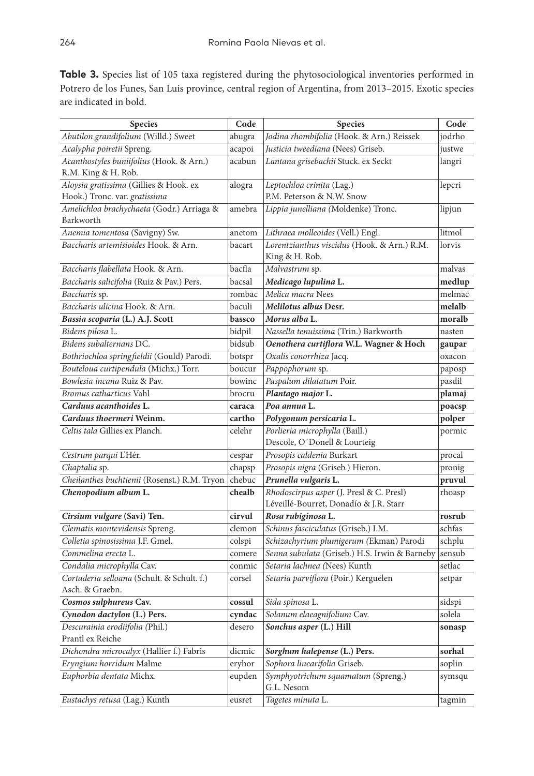**Table 3.** Species list of 105 taxa registered during the phytosociological inventories performed in Potrero de los Funes, San Luis province, central region of Argentina, from 2013–2015. Exotic species are indicated in bold.

| Species                                             | Code   | Species                                                                            | Code   |
|-----------------------------------------------------|--------|------------------------------------------------------------------------------------|--------|
| Abutilon grandifolium (Willd.) Sweet                | abugra | Jodina rhombifolia (Hook. & Arn.) Reissek                                          | jodrho |
| Acalypha poiretii Spreng.                           | acapoi | Justicia tweediana (Nees) Griseb.                                                  | justwe |
| Acanthostyles buniifolius (Hook. & Arn.)            | acabun | Lantana grisebachii Stuck. ex Seckt                                                | langri |
| R.M. King & H. Rob.                                 |        |                                                                                    |        |
| Aloysia gratissima (Gillies & Hook. ex              | alogra | Leptochloa crinita (Lag.)                                                          | lepcri |
| Hook.) Tronc. var. gratissima                       |        | P.M. Peterson & N.W. Snow                                                          |        |
| Amelichloa brachychaeta (Godr.) Arriaga &           | amebra | Lippia junelliana (Moldenke) Tronc.                                                | lipjun |
| Barkworth                                           |        |                                                                                    |        |
| Anemia tomentosa (Savigny) Sw.                      | anetom | Lithraea molleoides (Vell.) Engl.                                                  | litmol |
| Baccharis artemisioides Hook. & Arn.                | bacart | Lorentzianthus viscidus (Hook. & Arn.) R.M.<br>King & H. Rob.                      | lorvis |
| Baccharis flabellata Hook. & Arn.                   | bacfla | Malvastrum sp.                                                                     | malvas |
| Baccharis salicifolia (Ruiz & Pav.) Pers.           | bacsal | Medicago lupulina L.                                                               | medlup |
| Baccharis sp.                                       | rombac | Melica macra Nees                                                                  | melmac |
| Baccharis ulicina Hook. & Arn.                      | baculi | Melilotus albus Desr.                                                              | melalb |
| Bassia scoparia (L.) A.J. Scott                     | bassco | Morus alba L.                                                                      | moralb |
| Bidens pilosa L.                                    | bidpil | Nassella tenuissima (Trin.) Barkworth                                              | nasten |
| Bidens subalternans DC.                             | bidsub | Oenothera curtiflora W.L. Wagner & Hoch                                            | gaupar |
| Bothriochloa springfieldii (Gould) Parodi.          | botspr | Oxalis conorrhiza Jacq.                                                            | oxacon |
| Bouteloua curtipendula (Michx.) Torr.               | boucur | Pappophorum sp.                                                                    | paposp |
| Bowlesia incana Ruiz & Pav.                         | bowinc | Paspalum dilatatum Poir.                                                           | pasdil |
| Bromus catharticus Vahl                             | brocru | Plantago major L.                                                                  | plamaj |
| Carduus acanthoides L.                              | caraca | Poa annua L.                                                                       | poacsp |
| Carduus thoermeri Weinm.                            | cartho | Polygonum persicaria L.                                                            | polper |
| Celtis tala Gillies ex Planch.                      | celehr | Porlieria microphylla (Baill.)                                                     | pormic |
|                                                     |        | Descole, O'Donell & Lourteig                                                       |        |
| Cestrum parqui L'Hér.                               | cespar | <i>Prosopis caldenia</i> Burkart                                                   | procal |
| Chaptalia sp.                                       | chapsp | <i>Prosopis nigra</i> (Griseb.) Hieron.                                            | pronig |
| Cheilanthes buchtienii (Rosenst.) R.M. Tryon        | chebuc | Prunella vulgaris L.                                                               | pruvul |
| Chenopodium album L.                                | chealb | Rhodoscirpus asper (J. Presl & C. Presl)<br>Léveillé-Bourret, Donadío & J.R. Starr | rhoasp |
| Cirsium vulgare (Savi) Ten.                         | cirvul | Rosa rubiginosa L.                                                                 | rosrub |
| Clematis montevidensis Spreng.                      | clemon | Schinus fasciculatus (Griseb.) I.M.                                                | schfas |
| Colletia spinosissima J.F. Gmel.                    | colspi | Schizachyrium plumigerum (Ekman) Parodi                                            | schplu |
| Commelina erecta L.                                 | comere | Senna subulata (Griseb.) H.S. Irwin & Barneby                                      | sensub |
| Condalia microphylla Cav.                           | conmic | Setaria lachnea (Nees) Kunth                                                       | setlac |
| Cortaderia selloana (Schult. & Schult. f.)          | corsel | <i>Setaria parviflora</i> (Poir.) Kerguélen                                        | setpar |
| Asch. & Graebn.                                     |        |                                                                                    |        |
| Cosmos sulphureus Cav.                              | cossul | Sida spinosa L.                                                                    | sidspi |
| Cynodon dactylon (L.) Pers.                         | cyndac | Solanum elaeagnifolium Cav.                                                        | solela |
| Descurainia erodiifolia (Phil.)<br>Prantl ex Reiche | desero | Sonchus asper (L.) Hill                                                            | sonasp |
| Dichondra microcalyx (Hallier f.) Fabris            | dicmic | Sorghum halepense (L.) Pers.                                                       | sorhal |
| Eryngium horridum Malme                             | eryhor | Sophora linearifolia Griseb.                                                       | soplin |
| Euphorbia dentata Michx.                            | eupden | Symphyotrichum squamatum (Spreng.)<br>G.L. Nesom                                   | symsqu |
| Eustachys retusa (Lag.) Kunth                       | eusret | Tagetes minuta L.                                                                  | tagmin |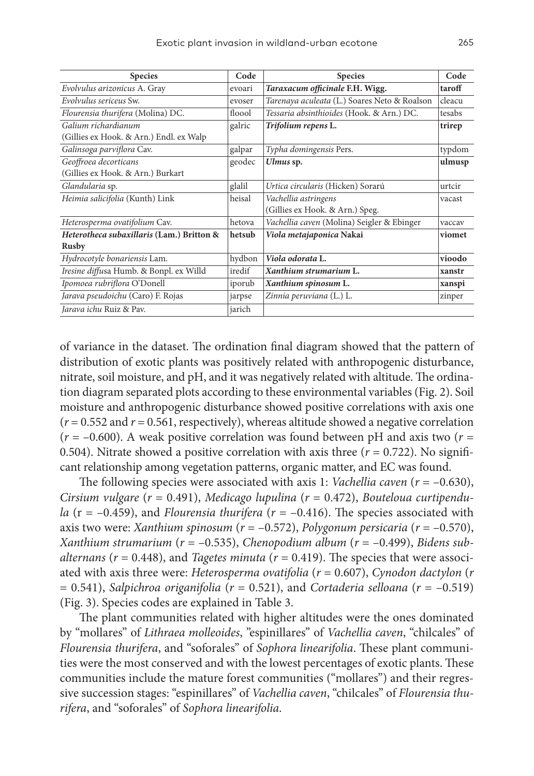| <b>Species</b>                            | Code   | <b>Species</b>                               | Code   |
|-------------------------------------------|--------|----------------------------------------------|--------|
| Evolvulus arizonicus A. Gray              | evoari | Taraxacum officinale F.H. Wigg.              | taroff |
| Evolvulus sericeus Sw.                    | evoser | Tarenaya aculeata (L.) Soares Neto & Roalson | cleacu |
| Flourensia thurifera (Molina) DC.         | floool | Tessaria absinthioides (Hook. & Arn.) DC.    | tesabs |
| Galium richardianum                       | galric | Trifolium repens L.                          | trirep |
| (Gillies ex Hook. & Arn.) Endl. ex Walp   |        |                                              |        |
| Galinsoga parviflora Cav.                 | galpar | Typha domingensis Pers.                      | typdom |
| Geoffroea decorticans                     | geodec | Ulmus sp.                                    | ulmusp |
| (Gillies ex Hook. & Arn.) Burkart         |        |                                              |        |
| Glandularia sp.                           | glalil | Urtica circularis (Hicken) Sorarú            | urtcir |
| Heimia salicifolia (Kunth) Link           | heisal | Vachellia astringens                         | vacast |
|                                           |        | (Gillies ex Hook. & Arn.) Speg.              |        |
| Heterosperma ovatifolium Cav.             | hetova | Vachellia caven (Molina) Seigler & Ebinger   | vaccav |
| Heterotheca subaxillaris (Lam.) Britton & | hetsub | Viola metajaponica Nakai                     | viomet |
| <b>Rusby</b>                              |        |                                              |        |
| Hydrocotyle bonariensis Lam.              | hydbon | Viola odorata L.                             | vioodo |
| Iresine diffusa Humb. & Bonpl. ex Willd   | iredif | Xanthium strumarium L.                       | xanstr |
| Ipomoea rubriflora O'Donell               | iporub | Xanthium spinosum L.                         | xanspi |
| Jarava pseudoichu (Caro) F. Rojas         | jarpse | Zinnia peruviana (L.) L.                     | zinper |
| Jarava ichu Ruiz & Pav.                   | jarich |                                              |        |

of variance in the dataset. The ordination final diagram showed that the pattern of distribution of exotic plants was positively related with anthropogenic disturbance, nitrate, soil moisture, and pH, and it was negatively related with altitude. The ordination diagram separated plots according to these environmental variables (Fig. 2). Soil moisture and anthropogenic disturbance showed positive correlations with axis one  $(r = 0.552$  and  $r = 0.561$ , respectively), whereas altitude showed a negative correlation  $(r = -0.600)$ . A weak positive correlation was found between pH and axis two  $(r =$ 0.504). Nitrate showed a positive correlation with axis three  $(r = 0.722)$ . No significant relationship among vegetation patterns, organic matter, and EC was found.

The following species were associated with axis 1: *Vachellia caven* (*r* = –0.630), *Cirsium vulgare* (*r* = 0.491), *Medicago lupulina* (*r* = 0.472), *Bouteloua curtipendula* ( $r = -0.459$ ), and *Flourensia thurifera* ( $r = -0.416$ ). The species associated with axis two were: *Xanthium spinosum* (*r* = –0.572), *Polygonum persicaria* (*r* = –0.570), *Xanthium strumarium* (*r* = –0.535), *Chenopodium album* (*r* = –0.499), *Bidens subalternans* ( $r = 0.448$ ), and *Tagetes minuta* ( $r = 0.419$ ). The species that were associated with axis three were: *Heterosperma ovatifolia* (*r* = 0.607), *Cynodon dactylon* (*r* = 0.541), *Salpichroa origanifolia* (*r* = 0.521), and *Cortaderia selloana* (*r* = –0.519) (Fig. 3). Species codes are explained in Table 3.

The plant communities related with higher altitudes were the ones dominated by "mollares" of *Lithraea molleoides*, "espinillares" of *Vachellia caven*, "chilcales" of *Flourensia thurifera*, and "soforales" of *Sophora linearifolia*. These plant communities were the most conserved and with the lowest percentages of exotic plants. These communities include the mature forest communities ("mollares") and their regressive succession stages: "espinillares" of *Vachellia caven*, "chilcales" of *Flourensia thurifera*, and "soforales" of *Sophora linearifolia*.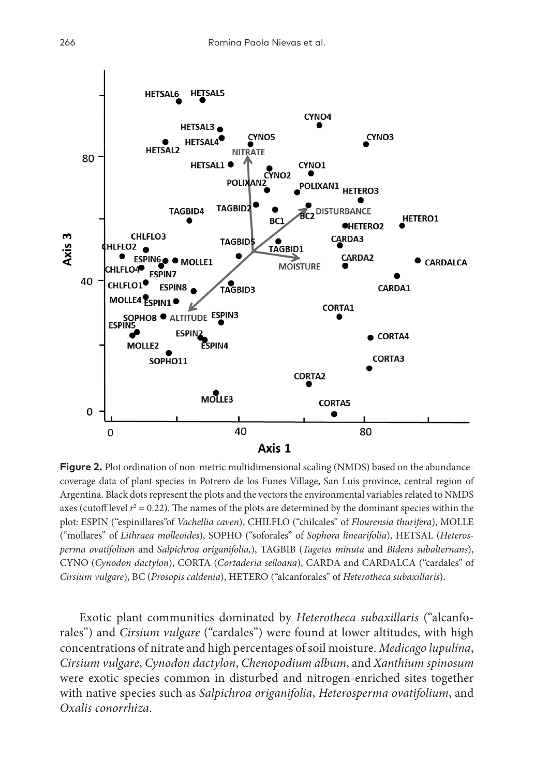

**Figure 2.** Plot ordination of non-metric multidimensional scaling (NMDS) based on the abundancecoverage data of plant species in Potrero de los Funes Village, San Luis province, central region of Argentina. Black dots represent the plots and the vectors the environmental variables related to NMDS axes (cutoff level  $r^2 = 0.22$ ). The names of the plots are determined by the dominant species within the plot: ESPIN ("espinillares"of *Vachellia caven*), CHILFLO ("chilcales" of *Flourensia thurifera*), MOLLE ("mollares" of *Lithraea molleoides*), SOPHO ("soforales" of *Sophora linearifolia*), HETSAL (*Heterosperma ovatifolium* and *Salpichroa origanifolia,*), TAGBIB (*Tagetes minuta* and *Bidens subalternans*), CYNO (*Cynodon dactylon*), CORTA (*Cortaderia selloana*), CARDA and CARDALCA ("cardales" of *Cirsium vulgare*), BC (*Prosopis caldenia*), HETERO ("alcanforales" of *Heterotheca subaxillaris*).

Exotic plant communities dominated by *Heterotheca subaxillaris* ("alcanforales") and *Cirsium vulgare* ("cardales") were found at lower altitudes, with high concentrations of nitrate and high percentages of soil moisture. *Medicago lupulina*, *Cirsium vulgare*, *Cynodon dactylon*, *Chenopodium album*, and *Xanthium spinosum* were exotic species common in disturbed and nitrogen-enriched sites together with native species such as *Salpichroa origanifolia*, *Heterosperma ovatifolium*, and *Oxalis conorrhiza*.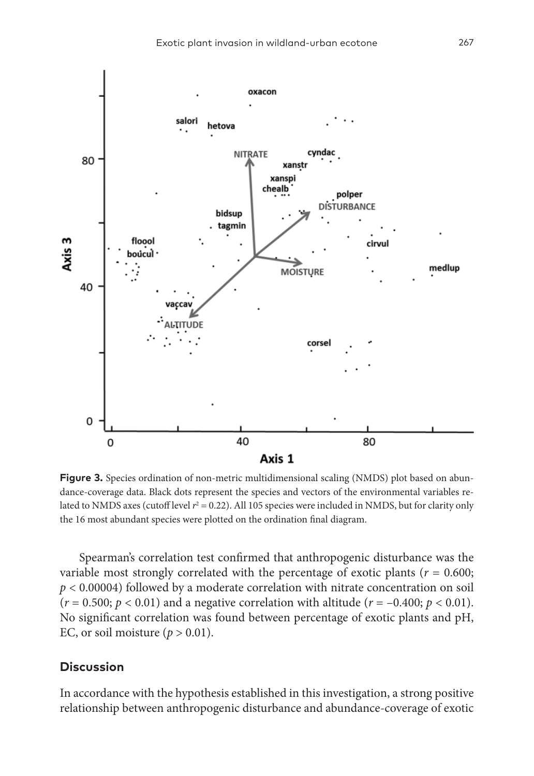

**Figure 3.** Species ordination of non-metric multidimensional scaling (NMDS) plot based on abundance-coverage data. Black dots represent the species and vectors of the environmental variables related to NMDS axes (cutoff level  $r^2 = 0.22$ ). All 105 species were included in NMDS, but for clarity only the 16 most abundant species were plotted on the ordination final diagram.

Spearman's correlation test confirmed that anthropogenic disturbance was the variable most strongly correlated with the percentage of exotic plants ( $r = 0.600$ ; *p* < 0.00004) followed by a moderate correlation with nitrate concentration on soil  $(r = 0.500; p < 0.01)$  and a negative correlation with altitude  $(r = -0.400; p < 0.01)$ . No significant correlation was found between percentage of exotic plants and pH, EC, or soil moisture  $(p > 0.01)$ .

### **Discussion**

In accordance with the hypothesis established in this investigation, a strong positive relationship between anthropogenic disturbance and abundance-coverage of exotic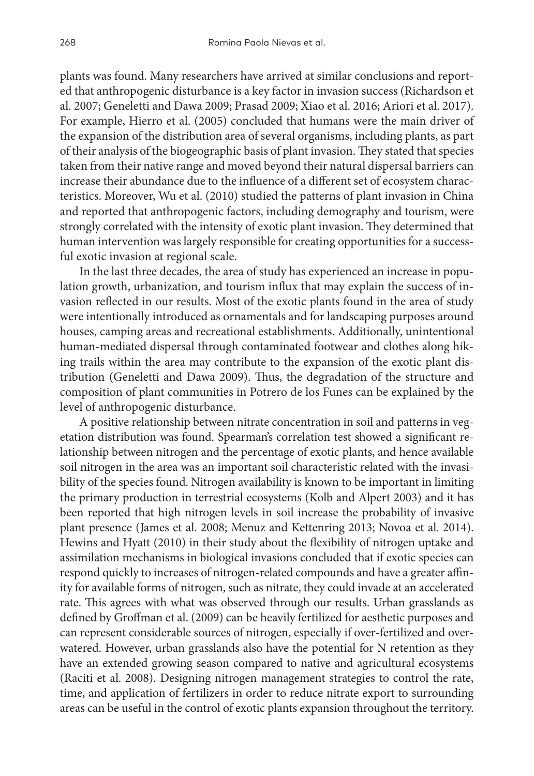plants was found. Many researchers have arrived at similar conclusions and reported that anthropogenic disturbance is a key factor in invasion success (Richardson et al. 2007; Geneletti and Dawa 2009; Prasad 2009; Xiao et al. 2016; Ariori et al. 2017). For example, Hierro et al. (2005) concluded that humans were the main driver of the expansion of the distribution area of several organisms, including plants, as part of their analysis of the biogeographic basis of plant invasion. They stated that species taken from their native range and moved beyond their natural dispersal barriers can increase their abundance due to the influence of a different set of ecosystem characteristics. Moreover, Wu et al. (2010) studied the patterns of plant invasion in China and reported that anthropogenic factors, including demography and tourism, were strongly correlated with the intensity of exotic plant invasion. They determined that human intervention was largely responsible for creating opportunities for a successful exotic invasion at regional scale.

In the last three decades, the area of study has experienced an increase in population growth, urbanization, and tourism influx that may explain the success of invasion reflected in our results. Most of the exotic plants found in the area of study were intentionally introduced as ornamentals and for landscaping purposes around houses, camping areas and recreational establishments. Additionally, unintentional human-mediated dispersal through contaminated footwear and clothes along hiking trails within the area may contribute to the expansion of the exotic plant distribution (Geneletti and Dawa 2009). Thus, the degradation of the structure and composition of plant communities in Potrero de los Funes can be explained by the level of anthropogenic disturbance.

A positive relationship between nitrate concentration in soil and patterns in vegetation distribution was found. Spearman's correlation test showed a significant relationship between nitrogen and the percentage of exotic plants, and hence available soil nitrogen in the area was an important soil characteristic related with the invasibility of the species found. Nitrogen availability is known to be important in limiting the primary production in terrestrial ecosystems (Kolb and Alpert 2003) and it has been reported that high nitrogen levels in soil increase the probability of invasive plant presence (James et al. 2008; Menuz and Kettenring 2013; Novoa et al. 2014). Hewins and Hyatt (2010) in their study about the flexibility of nitrogen uptake and assimilation mechanisms in biological invasions concluded that if exotic species can respond quickly to increases of nitrogen-related compounds and have a greater affinity for available forms of nitrogen, such as nitrate, they could invade at an accelerated rate. This agrees with what was observed through our results. Urban grasslands as defined by Groffman et al. (2009) can be heavily fertilized for aesthetic purposes and can represent considerable sources of nitrogen, especially if over-fertilized and overwatered. However, urban grasslands also have the potential for N retention as they have an extended growing season compared to native and agricultural ecosystems (Raciti et al. 2008). Designing nitrogen management strategies to control the rate, time, and application of fertilizers in order to reduce nitrate export to surrounding areas can be useful in the control of exotic plants expansion throughout the territory.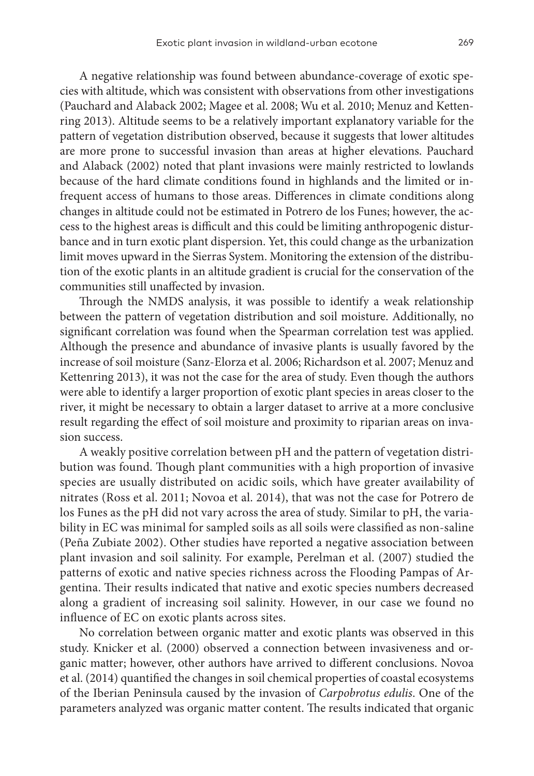A negative relationship was found between abundance-coverage of exotic species with altitude, which was consistent with observations from other investigations (Pauchard and Alaback 2002; Magee et al. 2008; Wu et al. 2010; Menuz and Kettenring 2013). Altitude seems to be a relatively important explanatory variable for the pattern of vegetation distribution observed, because it suggests that lower altitudes are more prone to successful invasion than areas at higher elevations. Pauchard and Alaback (2002) noted that plant invasions were mainly restricted to lowlands because of the hard climate conditions found in highlands and the limited or infrequent access of humans to those areas. Differences in climate conditions along changes in altitude could not be estimated in Potrero de los Funes; however, the access to the highest areas is difficult and this could be limiting anthropogenic disturbance and in turn exotic plant dispersion. Yet, this could change as the urbanization limit moves upward in the Sierras System. Monitoring the extension of the distribution of the exotic plants in an altitude gradient is crucial for the conservation of the communities still unaffected by invasion.

Through the NMDS analysis, it was possible to identify a weak relationship between the pattern of vegetation distribution and soil moisture. Additionally, no significant correlation was found when the Spearman correlation test was applied. Although the presence and abundance of invasive plants is usually favored by the increase of soil moisture (Sanz-Elorza et al. 2006; Richardson et al. 2007; Menuz and Kettenring 2013), it was not the case for the area of study. Even though the authors were able to identify a larger proportion of exotic plant species in areas closer to the river, it might be necessary to obtain a larger dataset to arrive at a more conclusive result regarding the effect of soil moisture and proximity to riparian areas on invasion success.

A weakly positive correlation between pH and the pattern of vegetation distribution was found. Though plant communities with a high proportion of invasive species are usually distributed on acidic soils, which have greater availability of nitrates (Ross et al. 2011; Novoa et al. 2014), that was not the case for Potrero de los Funes as the pH did not vary across the area of study. Similar to pH, the variability in EC was minimal for sampled soils as all soils were classified as non-saline (Peña Zubiate 2002). Other studies have reported a negative association between plant invasion and soil salinity. For example, Perelman et al. (2007) studied the patterns of exotic and native species richness across the Flooding Pampas of Argentina. Their results indicated that native and exotic species numbers decreased along a gradient of increasing soil salinity. However, in our case we found no influence of EC on exotic plants across sites.

No correlation between organic matter and exotic plants was observed in this study. Knicker et al. (2000) observed a connection between invasiveness and organic matter; however, other authors have arrived to different conclusions. Novoa et al. (2014) quantified the changes in soil chemical properties of coastal ecosystems of the Iberian Peninsula caused by the invasion of *Carpobrotus edulis*. One of the parameters analyzed was organic matter content. The results indicated that organic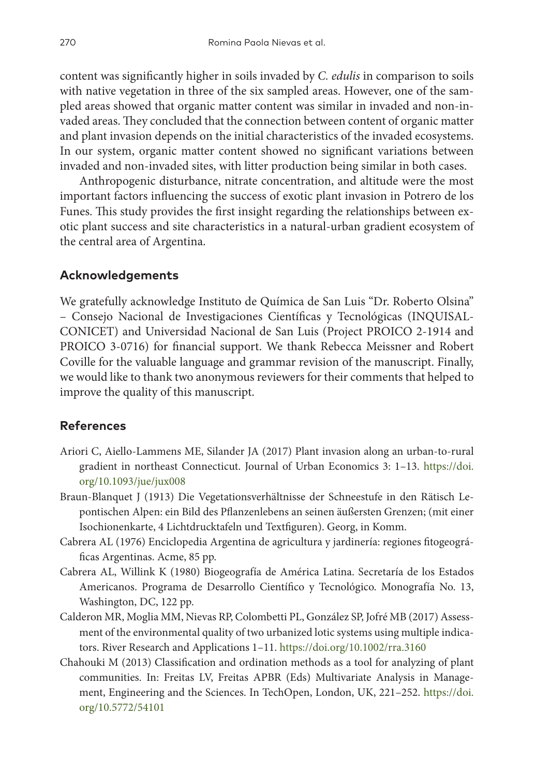content was significantly higher in soils invaded by *C. edulis* in comparison to soils with native vegetation in three of the six sampled areas. However, one of the sampled areas showed that organic matter content was similar in invaded and non-invaded areas. They concluded that the connection between content of organic matter and plant invasion depends on the initial characteristics of the invaded ecosystems. In our system, organic matter content showed no significant variations between invaded and non-invaded sites, with litter production being similar in both cases.

Anthropogenic disturbance, nitrate concentration, and altitude were the most important factors influencing the success of exotic plant invasion in Potrero de los Funes. This study provides the first insight regarding the relationships between exotic plant success and site characteristics in a natural-urban gradient ecosystem of the central area of Argentina.

## **Acknowledgements**

We gratefully acknowledge Instituto de Química de San Luis "Dr. Roberto Olsina" – Consejo Nacional de Investigaciones Científicas y Tecnológicas (INQUISAL-CONICET) and Universidad Nacional de San Luis (Project PROICO 2-1914 and PROICO 3-0716) for financial support. We thank Rebecca Meissner and Robert Coville for the valuable language and grammar revision of the manuscript. Finally, we would like to thank two anonymous reviewers for their comments that helped to improve the quality of this manuscript.

## **References**

- Ariori C, Aiello-Lammens ME, Silander JA (2017) Plant invasion along an urban-to-rural gradient in northeast Connecticut. Journal of Urban Economics 3: 1–13. [https://doi.](https://doi.org/10.1093/jue/jux008) [org/10.1093/jue/jux008](https://doi.org/10.1093/jue/jux008)
- Braun-Blanquet J (1913) Die Vegetationsverhältnisse der Schneestufe in den Rätisch Lepontischen Alpen: ein Bild des Pflanzenlebens an seinen äußersten Grenzen; (mit einer Isochionenkarte, 4 Lichtdrucktafeln und Textfiguren). Georg, in Komm.
- Cabrera AL (1976) Enciclopedia Argentina de agricultura y jardinería: regiones fitogeográficas Argentinas. Acme, 85 pp.
- Cabrera AL, Willink K (1980) Biogeografía de América Latina. Secretaría de los Estados Americanos. Programa de Desarrollo Científico y Tecnológico. Monografía No. 13, Washington, DC, 122 pp.
- Calderon MR, Moglia MM, Nievas RP, Colombetti PL, González SP, Jofré MB (2017) Assessment of the environmental quality of two urbanized lotic systems using multiple indicators. River Research and Applications 1–11.<https://doi.org/10.1002/rra.3160>
- Chahouki M (2013) Classification and ordination methods as a tool for analyzing of plant communities. In: Freitas LV, Freitas APBR (Eds) Multivariate Analysis in Management, Engineering and the Sciences. In TechOpen, London, UK, 221–252. [https://doi.](https://doi.org/10.5772/54101) [org/10.5772/54101](https://doi.org/10.5772/54101)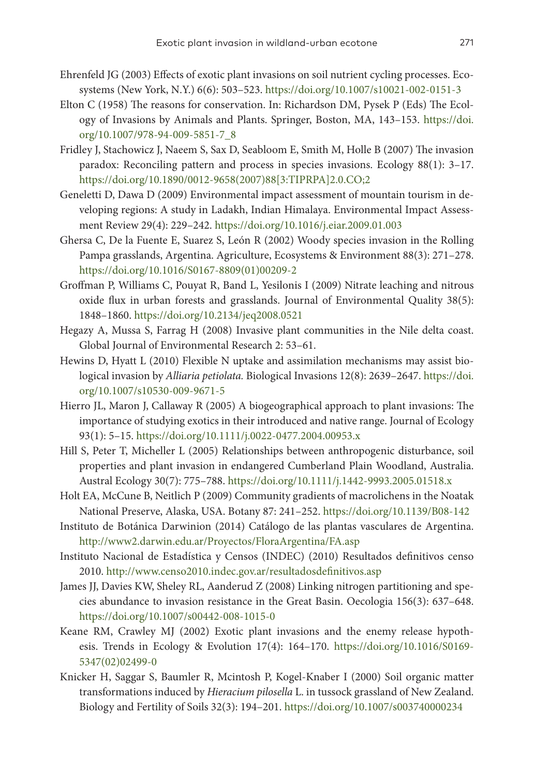- Ehrenfeld JG (2003) Effects of exotic plant invasions on soil nutrient cycling processes. Ecosystems (New York, N.Y.) 6(6): 503–523. <https://doi.org/10.1007/s10021-002-0151-3>
- Elton C (1958) The reasons for conservation. In: Richardson DM, Pysek P (Eds) The Ecology of Invasions by Animals and Plants. Springer, Boston, MA, 143–153. [https://doi.](https://doi.org/10.1007/978-94-009-5851-7_8) [org/10.1007/978-94-009-5851-7\\_8](https://doi.org/10.1007/978-94-009-5851-7_8)
- Fridley J, Stachowicz J, Naeem S, Sax D, Seabloom E, Smith M, Holle B (2007) The invasion paradox: Reconciling pattern and process in species invasions. Ecology 88(1): 3–17. [https://doi.org/10.1890/0012-9658\(2007\)88\[3:TIPRPA\]2.0.CO;2](https://doi.org/10.1890/0012-9658(2007)88%5B3:TIPRPA%5D2.0.CO;2)
- Geneletti D, Dawa D (2009) Environmental impact assessment of mountain tourism in developing regions: A study in Ladakh, Indian Himalaya. Environmental Impact Assessment Review 29(4): 229–242.<https://doi.org/10.1016/j.eiar.2009.01.003>
- Ghersa C, De la Fuente E, Suarez S, León R (2002) Woody species invasion in the Rolling Pampa grasslands, Argentina. Agriculture, Ecosystems & Environment 88(3): 271–278. [https://doi.org/10.1016/S0167-8809\(01\)00209-2](https://doi.org/10.1016/S0167-8809(01)00209-2)
- Groffman P, Williams C, Pouyat R, Band L, Yesilonis I (2009) Nitrate leaching and nitrous oxide flux in urban forests and grasslands. Journal of Environmental Quality 38(5): 1848–1860. <https://doi.org/10.2134/jeq2008.0521>
- Hegazy A, Mussa S, Farrag H (2008) Invasive plant communities in the Nile delta coast. Global Journal of Environmental Research 2: 53–61.
- Hewins D, Hyatt L (2010) Flexible N uptake and assimilation mechanisms may assist biological invasion by *Alliaria petiolata.* Biological Invasions 12(8): 2639–2647. [https://doi.](https://doi.org/10.1007/s10530-009-9671-5) [org/10.1007/s10530-009-9671-5](https://doi.org/10.1007/s10530-009-9671-5)
- Hierro JL, Maron J, Callaway R (2005) A biogeographical approach to plant invasions: The importance of studying exotics in their introduced and native range. Journal of Ecology 93(1): 5–15.<https://doi.org/10.1111/j.0022-0477.2004.00953.x>
- Hill S, Peter T, Micheller L (2005) Relationships between anthropogenic disturbance, soil properties and plant invasion in endangered Cumberland Plain Woodland, Australia. Austral Ecology 30(7): 775–788. <https://doi.org/10.1111/j.1442-9993.2005.01518.x>
- Holt EA, McCune B, Neitlich P (2009) Community gradients of macrolichens in the Noatak National Preserve, Alaska, USA. Botany 87: 241–252.<https://doi.org/10.1139/B08-142>
- Instituto de Botánica Darwinion (2014) Catálogo de las plantas vasculares de Argentina. <http://www2.darwin.edu.ar/Proyectos/FloraArgentina/FA.asp>
- Instituto Nacional de Estadística y Censos (INDEC) (2010) Resultados definitivos censo 2010.<http://www.censo2010.indec.gov.ar/resultadosdefinitivos.asp>
- James JJ, Davies KW, Sheley RL, Aanderud Z (2008) Linking nitrogen partitioning and species abundance to invasion resistance in the Great Basin. Oecologia 156(3): 637–648. <https://doi.org/10.1007/s00442-008-1015-0>
- Keane RM, Crawley MJ (2002) Exotic plant invasions and the enemy release hypothesis. Trends in Ecology & Evolution 17(4): 164–170. [https://doi.org/10.1016/S0169-](https://doi.org/10.1016/S0169-5347(02)02499-0) [5347\(02\)02499-0](https://doi.org/10.1016/S0169-5347(02)02499-0)
- Knicker H, Saggar S, Baumler R, Mcintosh P, Kogel-Knaber I (2000) Soil organic matter transformations induced by *Hieracium pilosella* L. in tussock grassland of New Zealand. Biology and Fertility of Soils 32(3): 194–201.<https://doi.org/10.1007/s003740000234>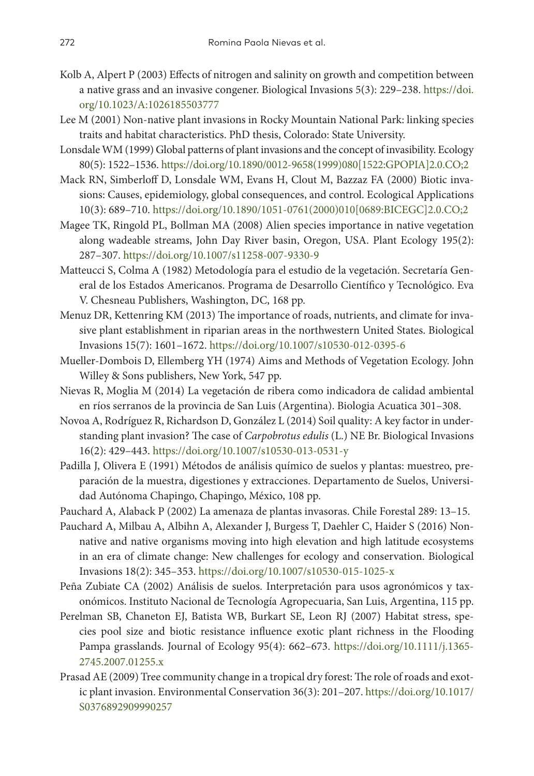- Kolb A, Alpert P (2003) Effects of nitrogen and salinity on growth and competition between a native grass and an invasive congener. Biological Invasions 5(3): 229–238. [https://doi.](https://doi.org/10.1023/A:1026185503777) [org/10.1023/A:1026185503777](https://doi.org/10.1023/A:1026185503777)
- Lee M (2001) Non-native plant invasions in Rocky Mountain National Park: linking species traits and habitat characteristics. PhD thesis, Colorado: State University.
- Lonsdale WM (1999) Global patterns of plant invasions and the concept of invasibility. Ecology 80(5): 1522–1536. [https://doi.org/10.1890/0012-9658\(1999\)080\[1522:GPOPIA\]2.0.CO;2](https://doi.org/10.1890/0012-9658(1999)080%5B1522:GPOPIA%5D2.0.CO;2)
- Mack RN, Simberloff D, Lonsdale WM, Evans H, Clout M, Bazzaz FA (2000) Biotic invasions: Causes, epidemiology, global consequences, and control. Ecological Applications 10(3): 689–710. [https://doi.org/10.1890/1051-0761\(2000\)010\[0689:BICEGC\]2.0.CO;2](https://doi.org/10.1890/1051-0761(2000)010%5B0689:BICEGC%5D2.0.CO;2)
- Magee TK, Ringold PL, Bollman MA (2008) Alien species importance in native vegetation along wadeable streams, John Day River basin, Oregon, USA. Plant Ecology 195(2): 287–307. <https://doi.org/10.1007/s11258-007-9330-9>
- Matteucci S, Colma A (1982) Metodología para el estudio de la vegetación. Secretaría General de los Estados Americanos. Programa de Desarrollo Científico y Tecnológico. Eva V. Chesneau Publishers, Washington, DC, 168 pp.
- Menuz DR, Kettenring KM (2013) The importance of roads, nutrients, and climate for invasive plant establishment in riparian areas in the northwestern United States. Biological Invasions 15(7): 1601–1672. <https://doi.org/10.1007/s10530-012-0395-6>
- Mueller-Dombois D, Ellemberg YH (1974) Aims and Methods of Vegetation Ecology. John Willey & Sons publishers, New York, 547 pp.
- Nievas R, Moglia M (2014) La vegetación de ribera como indicadora de calidad ambiental en ríos serranos de la provincia de San Luis (Argentina). Biologia Acuatica 301–308.
- Novoa A, Rodríguez R, Richardson D, González L (2014) Soil quality: A key factor in understanding plant invasion? The case of *Carpobrotus edulis* (L.) NE Br. Biological Invasions 16(2): 429–443. <https://doi.org/10.1007/s10530-013-0531-y>
- Padilla J, Olivera E (1991) Métodos de análisis químico de suelos y plantas: muestreo, preparación de la muestra, digestiones y extracciones. Departamento de Suelos, Universidad Autónoma Chapingo, Chapingo, México, 108 pp.
- Pauchard A, Alaback P (2002) La amenaza de plantas invasoras. Chile Forestal 289: 13–15.
- Pauchard A, Milbau A, Albihn A, Alexander J, Burgess T, Daehler C, Haider S (2016) Nonnative and native organisms moving into high elevation and high latitude ecosystems in an era of climate change: New challenges for ecology and conservation. Biological Invasions 18(2): 345–353.<https://doi.org/10.1007/s10530-015-1025-x>
- Peña Zubiate CA (2002) Análisis de suelos. Interpretación para usos agronómicos y taxonómicos. Instituto Nacional de Tecnología Agropecuaria, San Luis, Argentina, 115 pp.
- Perelman SB, Chaneton EJ, Batista WB, Burkart SE, Leon RJ (2007) Habitat stress, species pool size and biotic resistance influence exotic plant richness in the Flooding Pampa grasslands. Journal of Ecology 95(4): 662–673. [https://doi.org/10.1111/j.1365-](https://doi.org/10.1111/j.1365-2745.2007.01255.x) [2745.2007.01255.x](https://doi.org/10.1111/j.1365-2745.2007.01255.x)
- Prasad AE (2009) Tree community change in a tropical dry forest: The role of roads and exotic plant invasion. Environmental Conservation 36(3): 201–207. [https://doi.org/10.1017/](https://doi.org/10.1017/S0376892909990257) [S0376892909990257](https://doi.org/10.1017/S0376892909990257)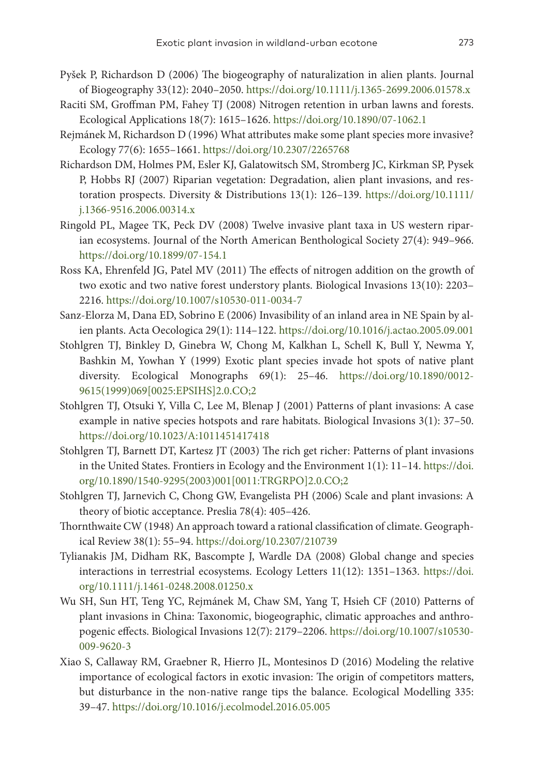- Pyšek P, Richardson D (2006) The biogeography of naturalization in alien plants. Journal of Biogeography 33(12): 2040–2050. <https://doi.org/10.1111/j.1365-2699.2006.01578.x>
- Raciti SM, Groffman PM, Fahey TJ (2008) Nitrogen retention in urban lawns and forests. Ecological Applications 18(7): 1615–1626. <https://doi.org/10.1890/07-1062.1>
- Rejmánek M, Richardson D (1996) What attributes make some plant species more invasive? Ecology 77(6): 1655–1661. <https://doi.org/10.2307/2265768>
- Richardson DM, Holmes PM, Esler KJ, Galatowitsch SM, Stromberg JC, Kirkman SP, Pysek P, Hobbs RJ (2007) Riparian vegetation: Degradation, alien plant invasions, and restoration prospects. Diversity & Distributions 13(1): 126–139. [https://doi.org/10.1111/](https://doi.org/10.1111/j.1366-9516.2006.00314.x) [j.1366-9516.2006.00314.x](https://doi.org/10.1111/j.1366-9516.2006.00314.x)
- Ringold PL, Magee TK, Peck DV (2008) Twelve invasive plant taxa in US western riparian ecosystems. Journal of the North American Benthological Society 27(4): 949–966. <https://doi.org/10.1899/07-154.1>
- Ross KA, Ehrenfeld JG, Patel MV (2011) The effects of nitrogen addition on the growth of two exotic and two native forest understory plants. Biological Invasions 13(10): 2203– 2216.<https://doi.org/10.1007/s10530-011-0034-7>
- Sanz-Elorza M, Dana ED, Sobrino E (2006) Invasibility of an inland area in NE Spain by alien plants. Acta Oecologica 29(1): 114–122.<https://doi.org/10.1016/j.actao.2005.09.001>
- Stohlgren TJ, Binkley D, Ginebra W, Chong M, Kalkhan L, Schell K, Bull Y, Newma Y, Bashkin M, Yowhan Y (1999) Exotic plant species invade hot spots of native plant diversity. Ecological Monographs 69(1): 25–46. [https://doi.org/10.1890/0012-](https://doi.org/10.1890/0012-9615(1999)069%5B0025:EPSIHS%5D2.0.CO;2) [9615\(1999\)069\[0025:EPSIHS\]2.0.CO;2](https://doi.org/10.1890/0012-9615(1999)069%5B0025:EPSIHS%5D2.0.CO;2)
- Stohlgren TJ, Otsuki Y, Villa C, Lee M, Blenap J (2001) Patterns of plant invasions: A case example in native species hotspots and rare habitats. Biological Invasions 3(1): 37–50. <https://doi.org/10.1023/A:1011451417418>
- Stohlgren TJ, Barnett DT, Kartesz JT (2003) The rich get richer: Patterns of plant invasions in the United States. Frontiers in Ecology and the Environment 1(1): 11–14. [https://doi.](https://doi.org/10.1890/1540-9295(2003)001%5B0011:TRGRPO%5D2.0.CO;2) [org/10.1890/1540-9295\(2003\)001\[0011:TRGRPO\]2.0.CO;2](https://doi.org/10.1890/1540-9295(2003)001%5B0011:TRGRPO%5D2.0.CO;2)
- Stohlgren TJ, Jarnevich C, Chong GW, Evangelista PH (2006) Scale and plant invasions: A theory of biotic acceptance. Preslia 78(4): 405–426.
- Thornthwaite CW (1948) An approach toward a rational classification of climate. Geographical Review 38(1): 55–94. <https://doi.org/10.2307/210739>
- Tylianakis JM, Didham RK, Bascompte J, Wardle DA (2008) Global change and species interactions in terrestrial ecosystems. Ecology Letters 11(12): 1351–1363. [https://doi.](https://doi.org/10.1111/j.1461-0248.2008.01250.x) [org/10.1111/j.1461-0248.2008.01250.x](https://doi.org/10.1111/j.1461-0248.2008.01250.x)
- Wu SH, Sun HT, Teng YC, Rejmánek M, Chaw SM, Yang T, Hsieh CF (2010) Patterns of plant invasions in China: Taxonomic, biogeographic, climatic approaches and anthropogenic effects. Biological Invasions 12(7): 2179–2206. [https://doi.org/10.1007/s10530-](https://doi.org/10.1007/s10530-009-9620-3) [009-9620-3](https://doi.org/10.1007/s10530-009-9620-3)
- Xiao S, Callaway RM, Graebner R, Hierro JL, Montesinos D (2016) Modeling the relative importance of ecological factors in exotic invasion: The origin of competitors matters, but disturbance in the non-native range tips the balance. Ecological Modelling 335: 39–47.<https://doi.org/10.1016/j.ecolmodel.2016.05.005>